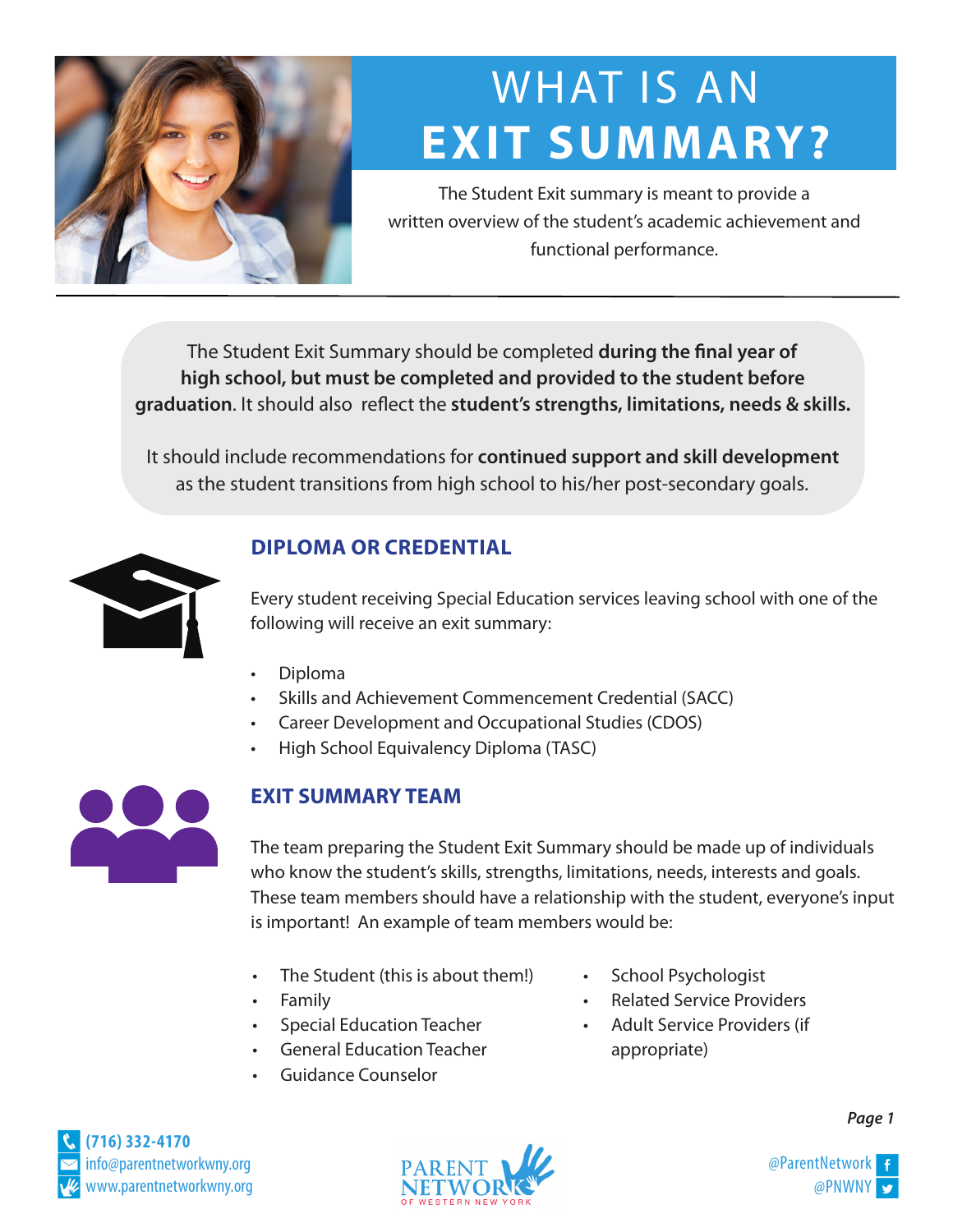

# WHAT IS AN WHAT IS AN **EXIT SUMMARY? EXIT SUMMARY?**

The Student Exit summary is meant to provide a written overview of the student's academic achievement and functional performance.

The Student Exit Summary should be completed **during the final year of high school, but must be completed and provided to the student before graduation**. It should also reflect the **student's strengths, limitations, needs & skills.**

It should include recommendations for **continued support and skill development**  as the student transitions from high school to his/her post-secondary goals.



### **DIPLOMA OR CREDENTIAL**

Every student receiving Special Education services leaving school with one of the following will receive an exit summary:

- Diploma
- Skills and Achievement Commencement Credential (SACC)
- Career Development and Occupational Studies (CDOS)
- High School Equivalency Diploma (TASC)



#### **EXIT SUMMARY TEAM**

The team preparing the Student Exit Summary should be made up of individuals who know the student's skills, strengths, limitations, needs, interests and goals. These team members should have a relationship with the student, everyone's input is important! An example of team members would be:

- The Student (this is about them!) School Psychologist
- 
- 
- General Education Teacher **a**ppropriate)
- Guidance Counselor
- 
- Family Related Service Providers
- Special Education Teacher Adult Service Providers (if





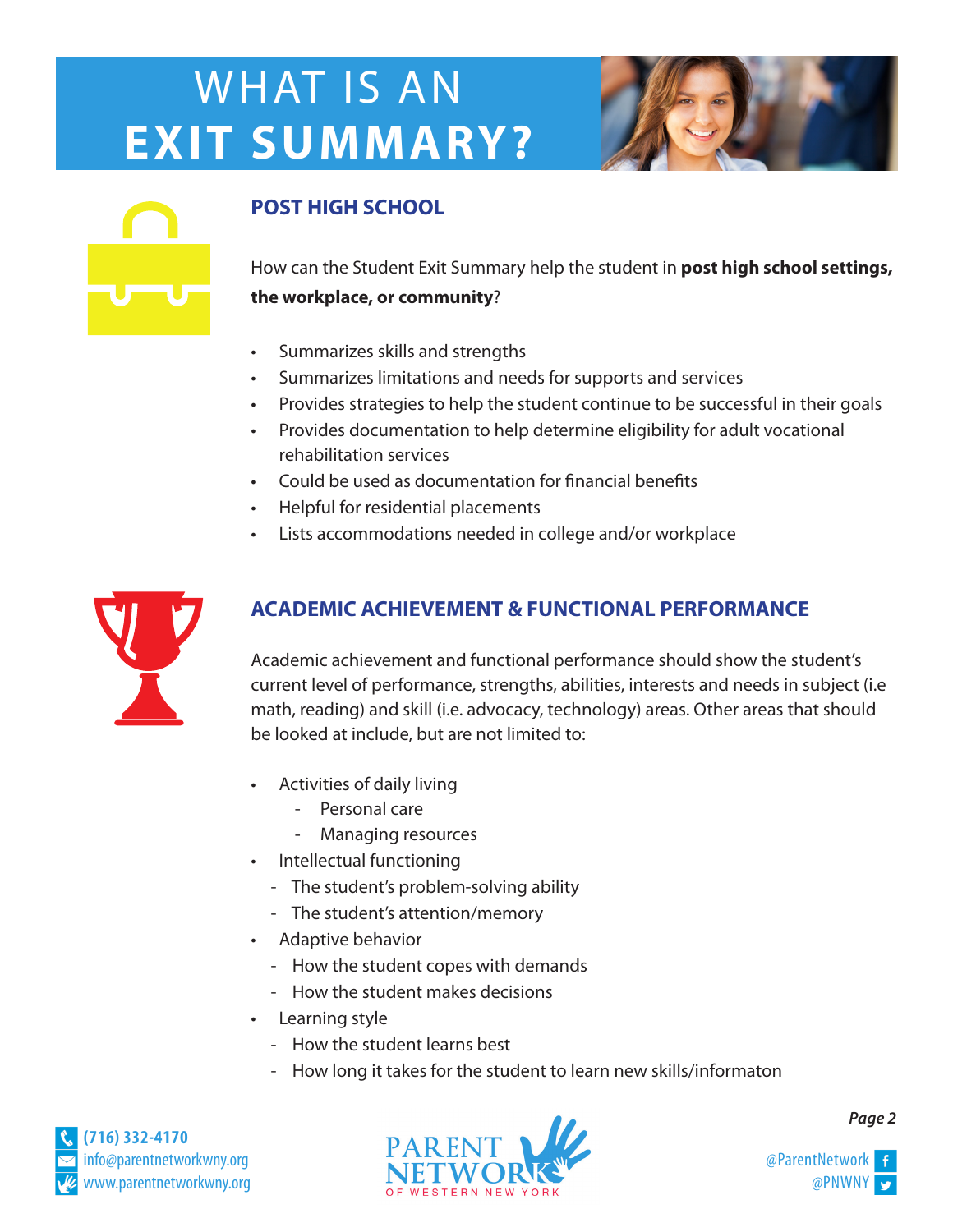# WHAT IS AN **EXIT SUMMARY?**



### **POST HIGH SCHOOL**

How can the Student Exit Summary help the student in **post high school settings, the workplace, or community**?

- Summarizes skills and strengths
- Summarizes limitations and needs for supports and services
- Provides strategies to help the student continue to be successful in their goals
- Provides documentation to help determine eligibility for adult vocational rehabilitation services
- Could be used as documentation for financial benefits
- Helpful for residential placements
- Lists accommodations needed in college and/or workplace



### **ACADEMIC ACHIEVEMENT & FUNCTIONAL PERFORMANCE**

Academic achievement and functional performance should show the student's current level of performance, strengths, abilities, interests and needs in subject (i.e math, reading) and skill (i.e. advocacy, technology) areas. Other areas that should be looked at include, but are not limited to:

- Activities of daily living
	- Personal care
	- Managing resources
- Intellectual functioning
	- The student's problem-solving ability
	- The student's attention/memory
- Adaptive behavior
	- How the student copes with demands
	- How the student makes decisions
- Learning style
	- How the student learns best
	- How long it takes for the student to learn new skills/informaton





*Page 2*

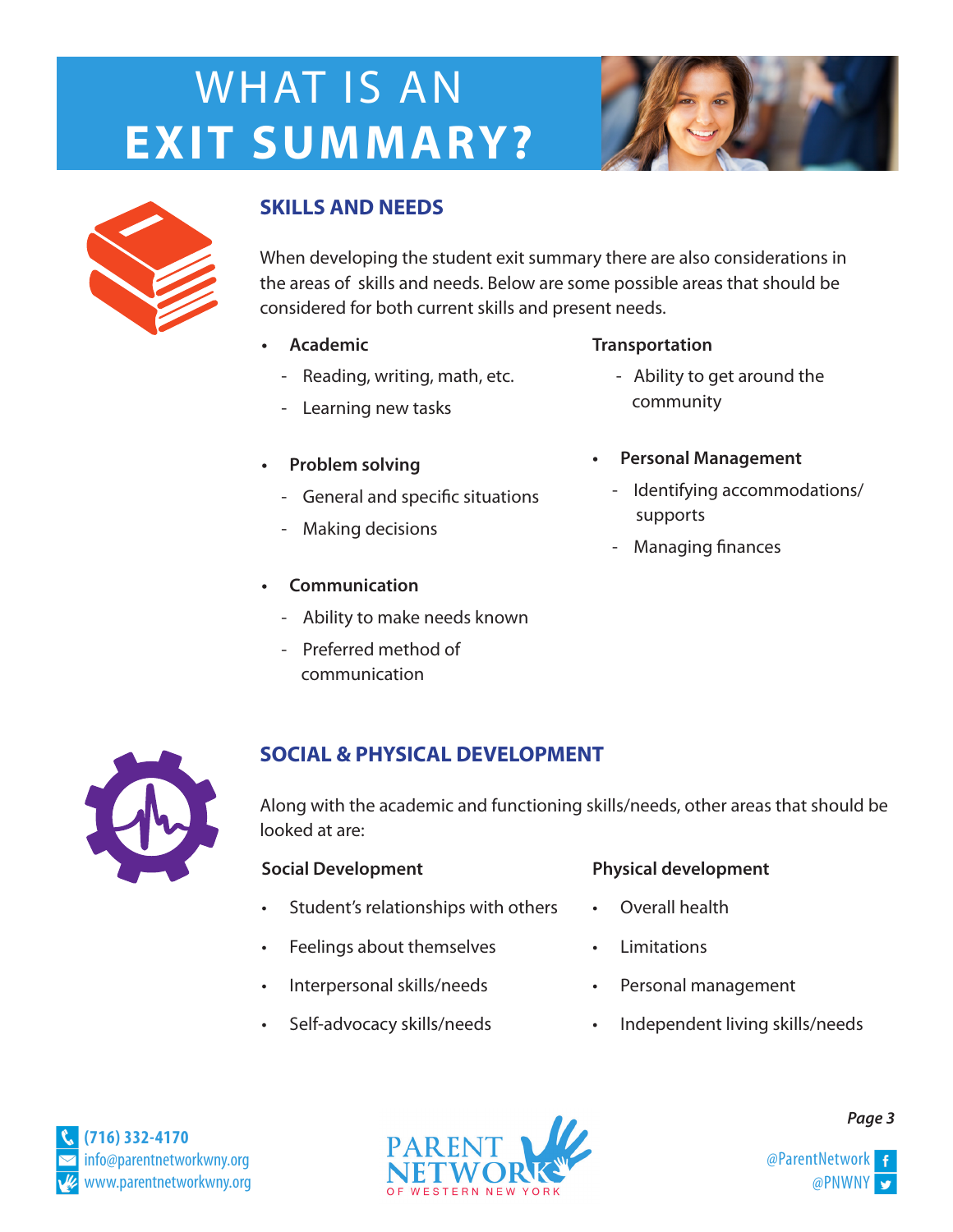# WHAT IS AN **EXIT SUMMARY?**





#### **SKILLS AND NEEDS**

When developing the student exit summary there are also considerations in the areas of skills and needs. Below are some possible areas that should be considered for both current skills and present needs.

- - Reading, writing, math, etc. The Ability to get around the
	- Learning new tasks community
- -
	- Making decisions
- **Communication**
	- Ability to make needs known
	- Preferred method of communication

#### **• Academic Transportation**

- 
- **• Personal Management Problem solving**
	- General and specific situations<br>supports
		- Managing finances



#### **SOCIAL & PHYSICAL DEVELOPMENT**

Along with the academic and functioning skills/needs, other areas that should be looked at are:

- Student's relationships with others Overall health
- Feelings about themselves Limitations
- Interpersonal skills/needs Personal management
- 

#### **Social Development Physical development**

- 
- 
- 
- Self-advocacy skills/needs Independent living skills/needs





*Page 3*

@PNWNY